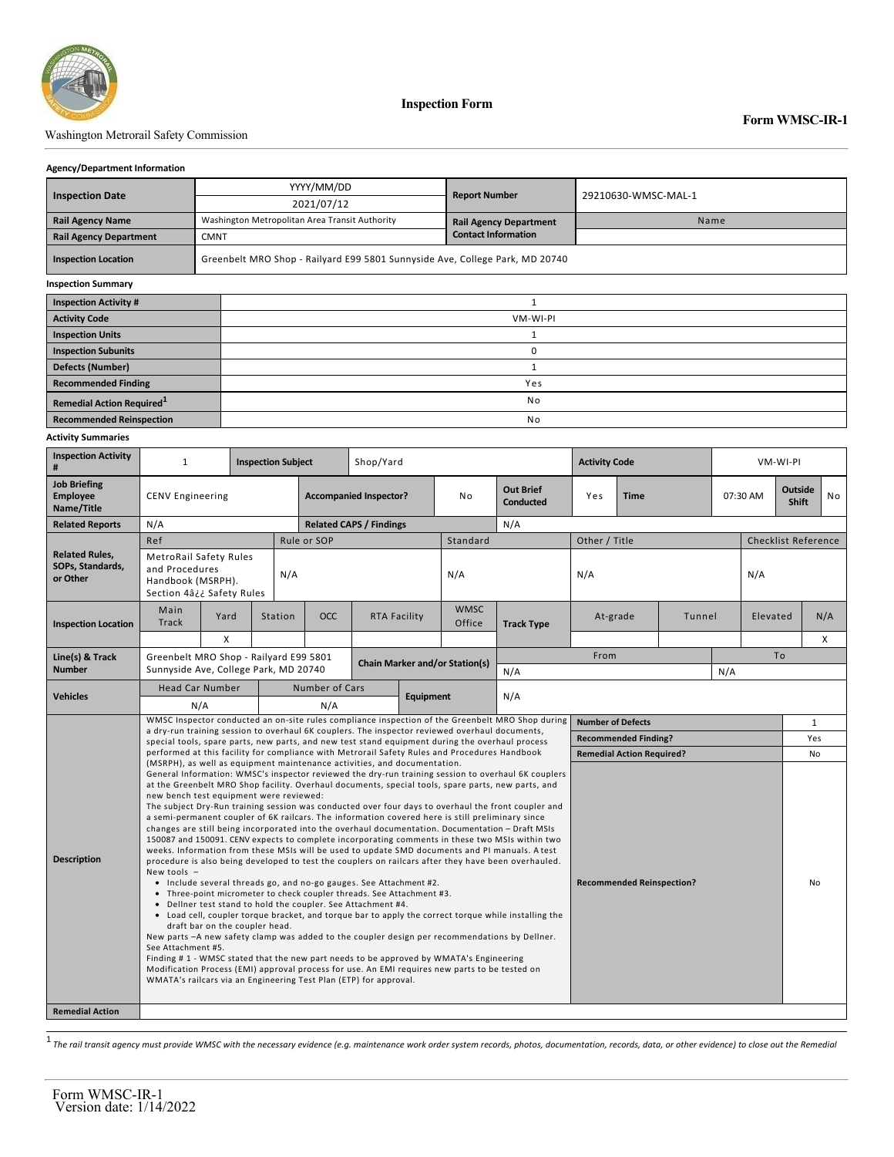

**Inspection Form**

## Washington Metrorail Safety Commission

#### **Agency/Department Information**

|                                       | YYYY/MM/DD                                                                   |          | <b>Report Number</b>          |                     |  |  |  |  |
|---------------------------------------|------------------------------------------------------------------------------|----------|-------------------------------|---------------------|--|--|--|--|
| <b>Inspection Date</b>                | 2021/07/12                                                                   |          |                               | 29210630-WMSC-MAL-1 |  |  |  |  |
| <b>Rail Agency Name</b>               | Washington Metropolitan Area Transit Authority                               |          | <b>Rail Agency Department</b> | Name                |  |  |  |  |
| <b>Rail Agency Department</b>         | <b>CMNT</b>                                                                  |          | <b>Contact Information</b>    |                     |  |  |  |  |
| <b>Inspection Location</b>            | Greenbelt MRO Shop - Railyard E99 5801 Sunnyside Ave, College Park, MD 20740 |          |                               |                     |  |  |  |  |
| <b>Inspection Summary</b>             |                                                                              |          |                               |                     |  |  |  |  |
| <b>Inspection Activity #</b>          |                                                                              |          |                               |                     |  |  |  |  |
| <b>Activity Code</b>                  |                                                                              | VM-WI-PI |                               |                     |  |  |  |  |
| <b>Inspection Units</b>               |                                                                              |          |                               |                     |  |  |  |  |
| <b>Inspection Subunits</b>            |                                                                              | 0        |                               |                     |  |  |  |  |
| <b>Defects (Number)</b>               |                                                                              |          |                               |                     |  |  |  |  |
| <b>Recommended Finding</b>            |                                                                              | Yes      |                               |                     |  |  |  |  |
| Remedial Action Required <sup>1</sup> |                                                                              | No       |                               |                     |  |  |  |  |

**Recommended Reinspection** No

## **Activity Summaries**

| <b>Job Briefing</b><br><b>Out Brief</b><br>Outside<br><b>No</b><br><b>Accompanied Inspector?</b><br>07:30 AM<br><b>Employee</b><br><b>CENV Engineering</b><br>No<br>Yes<br><b>Time</b><br><b>Conducted</b><br><b>Shift</b><br>Name/Title<br>N/A<br>N/A<br><b>Related Reports</b><br><b>Related CAPS / Findings</b><br>Ref<br>Rule or SOP<br>Other / Title<br><b>Checklist Reference</b><br>Standard<br><b>Related Rules,</b><br>MetroRail Safety Rules<br>SOPs, Standards,<br>and Procedures<br>N/A<br>N/A<br>N/A<br>N/A<br>or Other<br>Handbook (MSRPH).<br>Section 4â¿¿ Safety Rules<br><b>WMSC</b><br>Main<br><b>OCC</b><br>N/A<br>Yard<br>Station<br>RTA Facility<br>Tunnel<br>Elevated<br>At-grade<br><b>Track</b><br>Office<br><b>Track Type</b><br><b>Inspection Location</b><br>X<br>$\times$<br>To<br>From<br>Line(s) & Track<br>Greenbelt MRO Shop - Railyard E99 5801<br><b>Chain Marker and/or Station(s)</b><br><b>Number</b><br>Sunnyside Ave, College Park, MD 20740<br>N/A<br>N/A<br>Number of Cars<br><b>Head Car Number</b><br><b>Vehicles</b><br>N/A<br><b>Equipment</b><br>N/A<br>N/A<br>WMSC Inspector conducted an on-site rules compliance inspection of the Greenbelt MRO Shop during<br><b>Number of Defects</b><br>$\mathbf{1}$<br>a dry-run training session to overhaul 6K couplers. The inspector reviewed overhaul documents,<br><b>Recommended Finding?</b><br>Yes<br>special tools, spare parts, new parts, and new test stand equipment during the overhaul process<br>performed at this facility for compliance with Metrorail Safety Rules and Procedures Handbook<br><b>Remedial Action Required?</b><br>No<br>(MSRPH), as well as equipment maintenance activities, and documentation.<br>General Information: WMSC's inspector reviewed the dry-run training session to overhaul 6K couplers<br>at the Greenbelt MRO Shop facility. Overhaul documents, special tools, spare parts, new parts, and<br>new bench test equipment were reviewed:<br>The subject Dry-Run training session was conducted over four days to overhaul the front coupler and<br>a semi-permanent coupler of 6K railcars. The information covered here is still preliminary since<br>changes are still being incorporated into the overhaul documentation. Documentation - Draft MSIs<br>150087 and 150091. CENV expects to complete incorporating comments in these two MSIs within two<br>weeks. Information from these MSIs will be used to update SMD documents and PI manuals. A test<br><b>Description</b><br>procedure is also being developed to test the couplers on railcars after they have been overhauled.<br>New tools $-$<br>• Include several threads go, and no-go gauges. See Attachment #2.<br><b>Recommended Reinspection?</b><br>No<br>• Three-point micrometer to check coupler threads. See Attachment #3.<br>• Deliner test stand to hold the coupler. See Attachment #4.<br>• Load cell, coupler torque bracket, and torque bar to apply the correct torque while installing the<br>draft bar on the coupler head.<br>New parts -A new safety clamp was added to the coupler design per recommendations by Dellner.<br>See Attachment #5.<br>Finding #1 - WMSC stated that the new part needs to be approved by WMATA's Engineering | <b>Inspection Activity</b><br># | $\mathbf{1}$ |  | <b>Inspection Subject</b> |  | Shop/Yard |  |  |  | <b>Activity Code</b> |  |  | VM-WI-PI |  |  |  |  |
|---------------------------------------------------------------------------------------------------------------------------------------------------------------------------------------------------------------------------------------------------------------------------------------------------------------------------------------------------------------------------------------------------------------------------------------------------------------------------------------------------------------------------------------------------------------------------------------------------------------------------------------------------------------------------------------------------------------------------------------------------------------------------------------------------------------------------------------------------------------------------------------------------------------------------------------------------------------------------------------------------------------------------------------------------------------------------------------------------------------------------------------------------------------------------------------------------------------------------------------------------------------------------------------------------------------------------------------------------------------------------------------------------------------------------------------------------------------------------------------------------------------------------------------------------------------------------------------------------------------------------------------------------------------------------------------------------------------------------------------------------------------------------------------------------------------------------------------------------------------------------------------------------------------------------------------------------------------------------------------------------------------------------------------------------------------------------------------------------------------------------------------------------------------------------------------------------------------------------------------------------------------------------------------------------------------------------------------------------------------------------------------------------------------------------------------------------------------------------------------------------------------------------------------------------------------------------------------------------------------------------------------------------------------------------------------------------------------------------------------------------------------------------------------------------------------------------------------------------------------------------------------------------------------------------------------------------------------------------------------------------------------------------------------------------------------------------------------------------------------------------------------------------------------------------------------------------------------------------------------------------------------------------|---------------------------------|--------------|--|---------------------------|--|-----------|--|--|--|----------------------|--|--|----------|--|--|--|--|
|                                                                                                                                                                                                                                                                                                                                                                                                                                                                                                                                                                                                                                                                                                                                                                                                                                                                                                                                                                                                                                                                                                                                                                                                                                                                                                                                                                                                                                                                                                                                                                                                                                                                                                                                                                                                                                                                                                                                                                                                                                                                                                                                                                                                                                                                                                                                                                                                                                                                                                                                                                                                                                                                                                                                                                                                                                                                                                                                                                                                                                                                                                                                                                                                                                                                           |                                 |              |  |                           |  |           |  |  |  |                      |  |  |          |  |  |  |  |
|                                                                                                                                                                                                                                                                                                                                                                                                                                                                                                                                                                                                                                                                                                                                                                                                                                                                                                                                                                                                                                                                                                                                                                                                                                                                                                                                                                                                                                                                                                                                                                                                                                                                                                                                                                                                                                                                                                                                                                                                                                                                                                                                                                                                                                                                                                                                                                                                                                                                                                                                                                                                                                                                                                                                                                                                                                                                                                                                                                                                                                                                                                                                                                                                                                                                           |                                 |              |  |                           |  |           |  |  |  |                      |  |  |          |  |  |  |  |
|                                                                                                                                                                                                                                                                                                                                                                                                                                                                                                                                                                                                                                                                                                                                                                                                                                                                                                                                                                                                                                                                                                                                                                                                                                                                                                                                                                                                                                                                                                                                                                                                                                                                                                                                                                                                                                                                                                                                                                                                                                                                                                                                                                                                                                                                                                                                                                                                                                                                                                                                                                                                                                                                                                                                                                                                                                                                                                                                                                                                                                                                                                                                                                                                                                                                           |                                 |              |  |                           |  |           |  |  |  |                      |  |  |          |  |  |  |  |
|                                                                                                                                                                                                                                                                                                                                                                                                                                                                                                                                                                                                                                                                                                                                                                                                                                                                                                                                                                                                                                                                                                                                                                                                                                                                                                                                                                                                                                                                                                                                                                                                                                                                                                                                                                                                                                                                                                                                                                                                                                                                                                                                                                                                                                                                                                                                                                                                                                                                                                                                                                                                                                                                                                                                                                                                                                                                                                                                                                                                                                                                                                                                                                                                                                                                           |                                 |              |  |                           |  |           |  |  |  |                      |  |  |          |  |  |  |  |
|                                                                                                                                                                                                                                                                                                                                                                                                                                                                                                                                                                                                                                                                                                                                                                                                                                                                                                                                                                                                                                                                                                                                                                                                                                                                                                                                                                                                                                                                                                                                                                                                                                                                                                                                                                                                                                                                                                                                                                                                                                                                                                                                                                                                                                                                                                                                                                                                                                                                                                                                                                                                                                                                                                                                                                                                                                                                                                                                                                                                                                                                                                                                                                                                                                                                           |                                 |              |  |                           |  |           |  |  |  |                      |  |  |          |  |  |  |  |
|                                                                                                                                                                                                                                                                                                                                                                                                                                                                                                                                                                                                                                                                                                                                                                                                                                                                                                                                                                                                                                                                                                                                                                                                                                                                                                                                                                                                                                                                                                                                                                                                                                                                                                                                                                                                                                                                                                                                                                                                                                                                                                                                                                                                                                                                                                                                                                                                                                                                                                                                                                                                                                                                                                                                                                                                                                                                                                                                                                                                                                                                                                                                                                                                                                                                           |                                 |              |  |                           |  |           |  |  |  |                      |  |  |          |  |  |  |  |
|                                                                                                                                                                                                                                                                                                                                                                                                                                                                                                                                                                                                                                                                                                                                                                                                                                                                                                                                                                                                                                                                                                                                                                                                                                                                                                                                                                                                                                                                                                                                                                                                                                                                                                                                                                                                                                                                                                                                                                                                                                                                                                                                                                                                                                                                                                                                                                                                                                                                                                                                                                                                                                                                                                                                                                                                                                                                                                                                                                                                                                                                                                                                                                                                                                                                           |                                 |              |  |                           |  |           |  |  |  |                      |  |  |          |  |  |  |  |
|                                                                                                                                                                                                                                                                                                                                                                                                                                                                                                                                                                                                                                                                                                                                                                                                                                                                                                                                                                                                                                                                                                                                                                                                                                                                                                                                                                                                                                                                                                                                                                                                                                                                                                                                                                                                                                                                                                                                                                                                                                                                                                                                                                                                                                                                                                                                                                                                                                                                                                                                                                                                                                                                                                                                                                                                                                                                                                                                                                                                                                                                                                                                                                                                                                                                           |                                 |              |  |                           |  |           |  |  |  |                      |  |  |          |  |  |  |  |
|                                                                                                                                                                                                                                                                                                                                                                                                                                                                                                                                                                                                                                                                                                                                                                                                                                                                                                                                                                                                                                                                                                                                                                                                                                                                                                                                                                                                                                                                                                                                                                                                                                                                                                                                                                                                                                                                                                                                                                                                                                                                                                                                                                                                                                                                                                                                                                                                                                                                                                                                                                                                                                                                                                                                                                                                                                                                                                                                                                                                                                                                                                                                                                                                                                                                           |                                 |              |  |                           |  |           |  |  |  |                      |  |  |          |  |  |  |  |
|                                                                                                                                                                                                                                                                                                                                                                                                                                                                                                                                                                                                                                                                                                                                                                                                                                                                                                                                                                                                                                                                                                                                                                                                                                                                                                                                                                                                                                                                                                                                                                                                                                                                                                                                                                                                                                                                                                                                                                                                                                                                                                                                                                                                                                                                                                                                                                                                                                                                                                                                                                                                                                                                                                                                                                                                                                                                                                                                                                                                                                                                                                                                                                                                                                                                           |                                 |              |  |                           |  |           |  |  |  |                      |  |  |          |  |  |  |  |
|                                                                                                                                                                                                                                                                                                                                                                                                                                                                                                                                                                                                                                                                                                                                                                                                                                                                                                                                                                                                                                                                                                                                                                                                                                                                                                                                                                                                                                                                                                                                                                                                                                                                                                                                                                                                                                                                                                                                                                                                                                                                                                                                                                                                                                                                                                                                                                                                                                                                                                                                                                                                                                                                                                                                                                                                                                                                                                                                                                                                                                                                                                                                                                                                                                                                           |                                 |              |  |                           |  |           |  |  |  |                      |  |  |          |  |  |  |  |
|                                                                                                                                                                                                                                                                                                                                                                                                                                                                                                                                                                                                                                                                                                                                                                                                                                                                                                                                                                                                                                                                                                                                                                                                                                                                                                                                                                                                                                                                                                                                                                                                                                                                                                                                                                                                                                                                                                                                                                                                                                                                                                                                                                                                                                                                                                                                                                                                                                                                                                                                                                                                                                                                                                                                                                                                                                                                                                                                                                                                                                                                                                                                                                                                                                                                           |                                 |              |  |                           |  |           |  |  |  |                      |  |  |          |  |  |  |  |
| Modification Process (EMI) approval process for use. An EMI requires new parts to be tested on<br>WMATA's railcars via an Engineering Test Plan (ETP) for approval.                                                                                                                                                                                                                                                                                                                                                                                                                                                                                                                                                                                                                                                                                                                                                                                                                                                                                                                                                                                                                                                                                                                                                                                                                                                                                                                                                                                                                                                                                                                                                                                                                                                                                                                                                                                                                                                                                                                                                                                                                                                                                                                                                                                                                                                                                                                                                                                                                                                                                                                                                                                                                                                                                                                                                                                                                                                                                                                                                                                                                                                                                                       |                                 |              |  |                           |  |           |  |  |  |                      |  |  |          |  |  |  |  |
| <b>Remedial Action</b>                                                                                                                                                                                                                                                                                                                                                                                                                                                                                                                                                                                                                                                                                                                                                                                                                                                                                                                                                                                                                                                                                                                                                                                                                                                                                                                                                                                                                                                                                                                                                                                                                                                                                                                                                                                                                                                                                                                                                                                                                                                                                                                                                                                                                                                                                                                                                                                                                                                                                                                                                                                                                                                                                                                                                                                                                                                                                                                                                                                                                                                                                                                                                                                                                                                    |                                 |              |  |                           |  |           |  |  |  |                      |  |  |          |  |  |  |  |

1 *The rail transit agency must provide WMSC with the necessary evidence (e.g. maintenance work order system records, photos, documentation, records, data, or other evidence) to close out the Remedial*